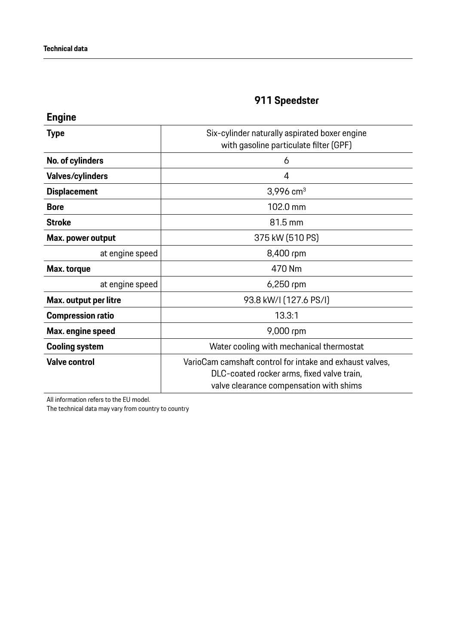| <b>Engine</b>            |                                                                                                                                                   |
|--------------------------|---------------------------------------------------------------------------------------------------------------------------------------------------|
| <b>Type</b>              | Six-cylinder naturally aspirated boxer engine<br>with gasoline particulate filter (GPF)                                                           |
| No. of cylinders         | 6                                                                                                                                                 |
| Valves/cylinders         | 4                                                                                                                                                 |
| <b>Displacement</b>      | 3,996 $cm3$                                                                                                                                       |
| <b>Bore</b>              | 102.0 mm                                                                                                                                          |
| <b>Stroke</b>            | 81.5 mm                                                                                                                                           |
| Max. power output        | 375 kW (510 PS)                                                                                                                                   |
| at engine speed          | 8,400 rpm                                                                                                                                         |
| Max. torque              | 470 Nm                                                                                                                                            |
| at engine speed          | 6,250 rpm                                                                                                                                         |
| Max. output per litre    | 93.8 kW/I (127.6 PS/I)                                                                                                                            |
| <b>Compression ratio</b> | 13.3:1                                                                                                                                            |
| Max. engine speed        | 9,000 rpm                                                                                                                                         |
| <b>Cooling system</b>    | Water cooling with mechanical thermostat                                                                                                          |
| <b>Valve control</b>     | VarioCam camshaft control for intake and exhaust valves,<br>DLC-coated rocker arms, fixed valve train,<br>valve clearance compensation with shims |

All information refers to the EU model.

The technical data may vary from country to country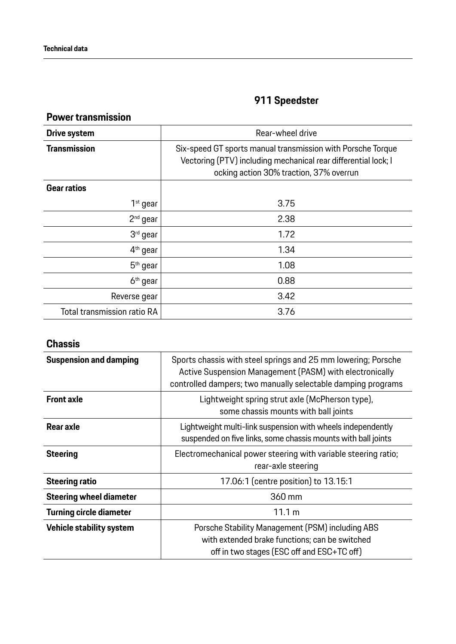### **Power transmission**

| Drive system                | Rear-wheel drive                                                                                                                                                         |
|-----------------------------|--------------------------------------------------------------------------------------------------------------------------------------------------------------------------|
| <b>Transmission</b>         | Six-speed GT sports manual transmission with Porsche Torque<br>Vectoring (PTV) including mechanical rear differential lock; I<br>ocking action 30% traction, 37% overrun |
| Gear ratios                 |                                                                                                                                                                          |
| $1st$ gear                  | 3.75                                                                                                                                                                     |
| $2nd$ gear                  | 2.38                                                                                                                                                                     |
| 3rd gear                    | 1.72                                                                                                                                                                     |
| $4th$ gear                  | 1.34                                                                                                                                                                     |
| $5th$ gear                  | 1.08                                                                                                                                                                     |
| 6 <sup>th</sup> gear        | 0.88                                                                                                                                                                     |
| Reverse gear                | 3.42                                                                                                                                                                     |
| Total transmission ratio RA | 3.76                                                                                                                                                                     |

#### **Chassis**

| <b>Suspension and damping</b>  | Sports chassis with steel springs and 25 mm lowering; Porsche<br>Active Suspension Management (PASM) with electronically<br>controlled dampers; two manually selectable damping programs |
|--------------------------------|------------------------------------------------------------------------------------------------------------------------------------------------------------------------------------------|
| <b>Front axle</b>              | Lightweight spring strut axle (McPherson type),<br>some chassis mounts with ball joints                                                                                                  |
| Rear axle                      | Lightweight multi-link suspension with wheels independently<br>suspended on five links, some chassis mounts with ball joints                                                             |
| <b>Steering</b>                | Electromechanical power steering with variable steering ratio;<br>rear-axle steering                                                                                                     |
| <b>Steering ratio</b>          | 17.06:1 (centre position) to 13.15:1                                                                                                                                                     |
| <b>Steering wheel diameter</b> | 360 mm                                                                                                                                                                                   |
| <b>Turning circle diameter</b> | 11.1 m                                                                                                                                                                                   |
| Vehicle stability system       | Porsche Stability Management (PSM) including ABS<br>with extended brake functions; can be switched<br>off in two stages (ESC off and ESC+TC off)                                         |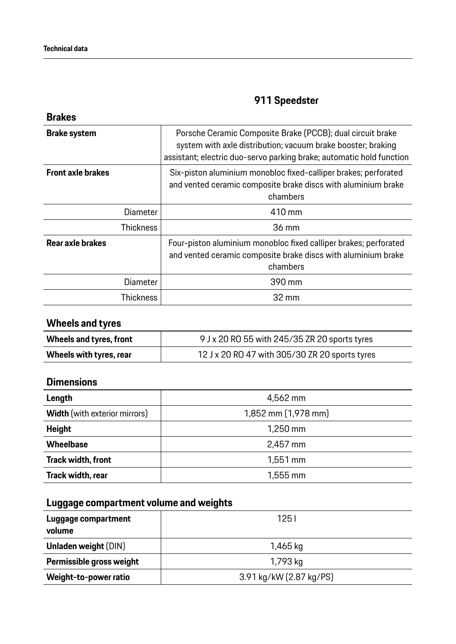| Porsche Ceramic Composite Brake (PCCB); dual circuit brake<br>system with axle distribution; vacuum brake booster; braking<br>assistant; electric duo-servo parking brake; automatic hold function |
|----------------------------------------------------------------------------------------------------------------------------------------------------------------------------------------------------|
| Six-piston aluminium monobloc fixed-calliper brakes; perforated<br>and vented ceramic composite brake discs with aluminium brake<br>chambers                                                       |
| 410 mm                                                                                                                                                                                             |
| 36 mm                                                                                                                                                                                              |
| Four-piston aluminium monobloc fixed calliper brakes; perforated<br>and vented ceramic composite brake discs with aluminium brake<br>chambers                                                      |
| 390 mm                                                                                                                                                                                             |
| 32 mm                                                                                                                                                                                              |
| Diameter<br>Thickness<br><b>Diameter</b><br>Thickness                                                                                                                                              |

### **Wheels and tyres**

| Wheels and tyres, front | 9 J x 20 RO 55 with 245/35 ZR 20 sports tyres  |
|-------------------------|------------------------------------------------|
| Wheels with tyres, rear | 12 J x 20 RO 47 with 305/30 ZR 20 sports tyres |

#### **Dimensions**

| Length                               | 4,562 mm            |
|--------------------------------------|---------------------|
| <b>Width</b> (with exterior mirrors) | 1,852 mm (1,978 mm) |
| <b>Height</b>                        | 1,250 mm            |
| <b>Wheelbase</b>                     | 2,457 mm            |
| <b>Track width, front</b>            | $1,551$ mm          |
| Track width, rear                    | $1,555$ mm          |

### **Luggage compartment volume and weights**

| Luggage compartment<br>volume | 1251                    |
|-------------------------------|-------------------------|
| <b>Unladen weight (DIN)</b>   | 1,465 kg                |
| Permissible gross weight      | 1,793 kg                |
| Weight-to-power ratio         | 3.91 kg/kW (2.87 kg/PS) |